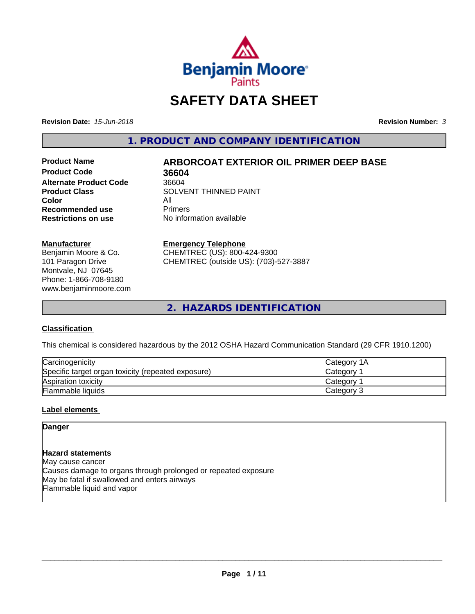

# **SAFETY DATA SHEET**

**Revision Date:** *15-Jun-2018* **Revision Number:** *3*

**1. PRODUCT AND COMPANY IDENTIFICATION**

**Product Code 36604**<br> **Alternate Product Code** 36604 **Alternate Product Code**<br>**Product Class Color** All<br> **Recommended use** Primers **Recommended use**<br>Restrictions on use

# **Product Name ARBORCOAT EXTERIOR OIL PRIMER DEEP BASE**

**SOLVENT THINNED PAINT No information available** 

#### **Manufacturer**

Benjamin Moore & Co. 101 Paragon Drive Montvale, NJ 07645 Phone: 1-866-708-9180 www.benjaminmoore.com

#### **Emergency Telephone**

CHEMTREC (US): 800-424-9300 CHEMTREC (outside US): (703)-527-3887

**2. HAZARDS IDENTIFICATION**

# **Classification**

This chemical is considered hazardous by the 2012 OSHA Hazard Communication Standard (29 CFR 1910.1200)

| Carcinogenicity                                    | ICategory 1A    |
|----------------------------------------------------|-----------------|
| Specific target organ toxicity (repeated exposure) | Category        |
| Aspiration toxicity                                | <b>Category</b> |
| Flammable liquids                                  | Category 3      |

# **Label elements**

# **Danger**

# **Hazard statements**

May cause cancer Causes damage to organs through prolonged or repeated exposure May be fatal if swallowed and enters airways Flammable liquid and vapor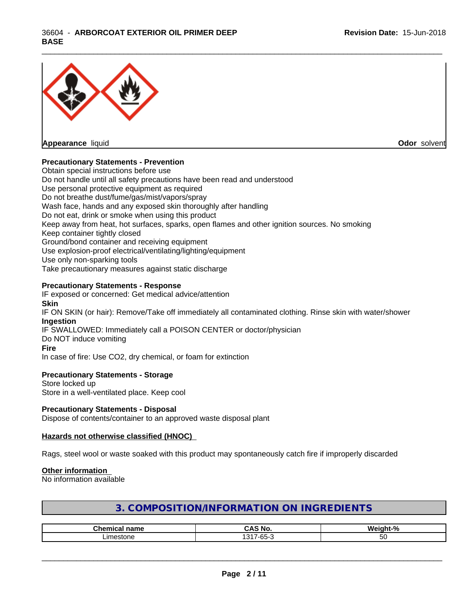

**Appearance** liquid **Odor** solvent

## **Precautionary Statements - Prevention**

Obtain special instructions before use Do not handle until all safety precautions have been read and understood Use personal protective equipment as required Do not breathe dust/fume/gas/mist/vapors/spray Wash face, hands and any exposed skin thoroughly after handling Do not eat, drink or smoke when using this product Keep away from heat, hot surfaces, sparks, open flames and other ignition sources. No smoking Keep container tightly closed Ground/bond container and receiving equipment Use explosion-proof electrical/ventilating/lighting/equipment Use only non-sparking tools Take precautionary measures against static discharge

\_\_\_\_\_\_\_\_\_\_\_\_\_\_\_\_\_\_\_\_\_\_\_\_\_\_\_\_\_\_\_\_\_\_\_\_\_\_\_\_\_\_\_\_\_\_\_\_\_\_\_\_\_\_\_\_\_\_\_\_\_\_\_\_\_\_\_\_\_\_\_\_\_\_\_\_\_\_\_\_\_\_\_\_\_\_\_\_\_\_\_\_\_

## **Precautionary Statements - Response**

IF exposed or concerned: Get medical advice/attention **Skin** IF ON SKIN (or hair): Remove/Take off immediately all contaminated clothing. Rinse skin with water/shower **Ingestion** IF SWALLOWED: Immediately call a POISON CENTER or doctor/physician Do NOT induce vomiting **Fire** In case of fire: Use CO2, dry chemical, or foam for extinction

#### **Precautionary Statements - Storage**

Store locked up Store in a well-ventilated place. Keep cool

#### **Precautionary Statements - Disposal**

Dispose of contents/container to an approved waste disposal plant

#### **Hazards not otherwise classified (HNOC)**

Rags, steel wool or waste soaked with this product may spontaneously catch fire if improperly discarded

#### **Other information**

No information available

| 3. COMPOSITION/INFORMATION ON INGREDIENTS |
|-------------------------------------------|
|-------------------------------------------|

| ™ho.<br>--<br>name | <br>м.                                           | . .<br>$\sqrt{2}$ |
|--------------------|--------------------------------------------------|-------------------|
| imathn             | $\sqrt{2}$<br>$\sim$ $\sim$<br>$-55$<br>-บน<br>ີ | -<br>w            |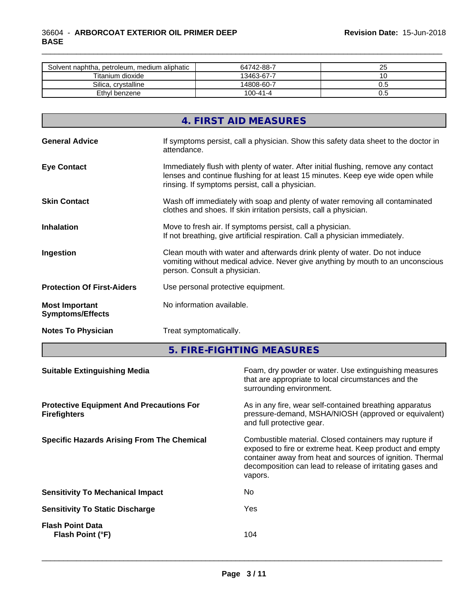| Solvent naphtha, petroleum, medium aliphatic | 64742-88-7     | n r<br>້ |
|----------------------------------------------|----------------|----------|
| Titanium dioxide                             | 13463-67-7     |          |
| Silica, crystalline                          | 14808-60-7     | v.J      |
| Ethyl benzene                                | $100 - 41 - 4$ | v.J      |

\_\_\_\_\_\_\_\_\_\_\_\_\_\_\_\_\_\_\_\_\_\_\_\_\_\_\_\_\_\_\_\_\_\_\_\_\_\_\_\_\_\_\_\_\_\_\_\_\_\_\_\_\_\_\_\_\_\_\_\_\_\_\_\_\_\_\_\_\_\_\_\_\_\_\_\_\_\_\_\_\_\_\_\_\_\_\_\_\_\_\_\_\_

|                                                  | 4. FIRST AID MEASURES                                                                                                                                                                                                   |
|--------------------------------------------------|-------------------------------------------------------------------------------------------------------------------------------------------------------------------------------------------------------------------------|
| <b>General Advice</b>                            | If symptoms persist, call a physician. Show this safety data sheet to the doctor in<br>attendance.                                                                                                                      |
| <b>Eye Contact</b>                               | Immediately flush with plenty of water. After initial flushing, remove any contact<br>lenses and continue flushing for at least 15 minutes. Keep eye wide open while<br>rinsing. If symptoms persist, call a physician. |
| <b>Skin Contact</b>                              | Wash off immediately with soap and plenty of water removing all contaminated<br>clothes and shoes. If skin irritation persists, call a physician.                                                                       |
| <b>Inhalation</b>                                | Move to fresh air. If symptoms persist, call a physician.<br>If not breathing, give artificial respiration. Call a physician immediately.                                                                               |
| Ingestion                                        | Clean mouth with water and afterwards drink plenty of water. Do not induce<br>vomiting without medical advice. Never give anything by mouth to an unconscious<br>person. Consult a physician.                           |
| <b>Protection Of First-Aiders</b>                | Use personal protective equipment.                                                                                                                                                                                      |
| <b>Most Important</b><br><b>Symptoms/Effects</b> | No information available.                                                                                                                                                                                               |
| <b>Notes To Physician</b>                        | Treat symptomatically.                                                                                                                                                                                                  |

**5. FIRE-FIGHTING MEASURES**

| <b>Suitable Extinguishing Media</b>                                    | Foam, dry powder or water. Use extinguishing measures<br>that are appropriate to local circumstances and the<br>surrounding environment.                                                                                                               |
|------------------------------------------------------------------------|--------------------------------------------------------------------------------------------------------------------------------------------------------------------------------------------------------------------------------------------------------|
| <b>Protective Equipment And Precautions For</b><br><b>Firefighters</b> | As in any fire, wear self-contained breathing apparatus<br>pressure-demand, MSHA/NIOSH (approved or equivalent)<br>and full protective gear.                                                                                                           |
| <b>Specific Hazards Arising From The Chemical</b>                      | Combustible material. Closed containers may rupture if<br>exposed to fire or extreme heat. Keep product and empty<br>container away from heat and sources of ignition. Thermal<br>decomposition can lead to release of irritating gases and<br>vapors. |
| <b>Sensitivity To Mechanical Impact</b>                                | No.                                                                                                                                                                                                                                                    |
| <b>Sensitivity To Static Discharge</b>                                 | Yes                                                                                                                                                                                                                                                    |
| <b>Flash Point Data</b><br>Flash Point (°F)                            | 104                                                                                                                                                                                                                                                    |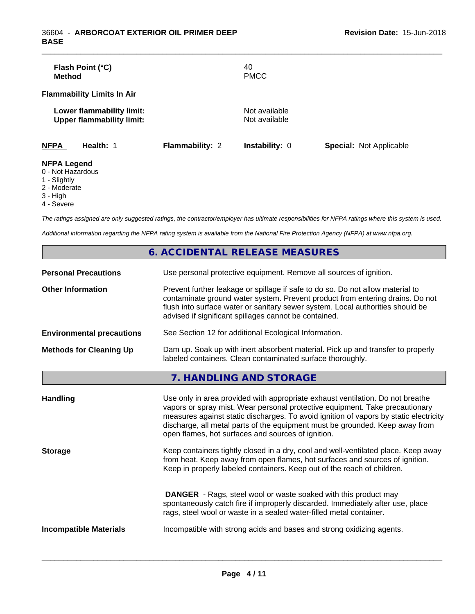|                        | 40                    |                                |
|------------------------|-----------------------|--------------------------------|
|                        | <b>PMCC</b>           |                                |
|                        |                       |                                |
|                        | Not available         |                                |
|                        |                       |                                |
| <b>Flammability: 2</b> | <b>Instability: 0</b> | <b>Special: Not Applicable</b> |
|                        |                       |                                |
|                        |                       | Not available                  |

- 
- 1 Slightly
- 2 Moderate
- 3 High
- 4 Severe

*The ratings assigned are only suggested ratings, the contractor/employer has ultimate responsibilities for NFPA ratings where this system is used.*

*Additional information regarding the NFPA rating system is available from the National Fire Protection Agency (NFPA) at www.nfpa.org.*

|                                  | 6. ACCIDENTAL RELEASE MEASURES                                                                                                                                                                                                                                                                                                                                                                |
|----------------------------------|-----------------------------------------------------------------------------------------------------------------------------------------------------------------------------------------------------------------------------------------------------------------------------------------------------------------------------------------------------------------------------------------------|
| <b>Personal Precautions</b>      | Use personal protective equipment. Remove all sources of ignition.                                                                                                                                                                                                                                                                                                                            |
| <b>Other Information</b>         | Prevent further leakage or spillage if safe to do so. Do not allow material to<br>contaminate ground water system. Prevent product from entering drains. Do not<br>flush into surface water or sanitary sewer system. Local authorities should be<br>advised if significant spillages cannot be contained.                                                                                    |
| <b>Environmental precautions</b> | See Section 12 for additional Ecological Information.                                                                                                                                                                                                                                                                                                                                         |
| <b>Methods for Cleaning Up</b>   | Dam up. Soak up with inert absorbent material. Pick up and transfer to properly<br>labeled containers. Clean contaminated surface thoroughly.                                                                                                                                                                                                                                                 |
|                                  | 7. HANDLING AND STORAGE                                                                                                                                                                                                                                                                                                                                                                       |
| <b>Handling</b>                  | Use only in area provided with appropriate exhaust ventilation. Do not breathe<br>vapors or spray mist. Wear personal protective equipment. Take precautionary<br>measures against static discharges. To avoid ignition of vapors by static electricity<br>discharge, all metal parts of the equipment must be grounded. Keep away from<br>open flames, hot surfaces and sources of ignition. |
| <b>Storage</b>                   | Keep containers tightly closed in a dry, cool and well-ventilated place. Keep away<br>from heat. Keep away from open flames, hot surfaces and sources of ignition.<br>Keep in properly labeled containers. Keep out of the reach of children.                                                                                                                                                 |
|                                  | <b>DANGER</b> - Rags, steel wool or waste soaked with this product may<br>spontaneously catch fire if improperly discarded. Immediately after use, place<br>rags, steel wool or waste in a sealed water-filled metal container.                                                                                                                                                               |
| <b>Incompatible Materials</b>    | Incompatible with strong acids and bases and strong oxidizing agents.                                                                                                                                                                                                                                                                                                                         |
|                                  |                                                                                                                                                                                                                                                                                                                                                                                               |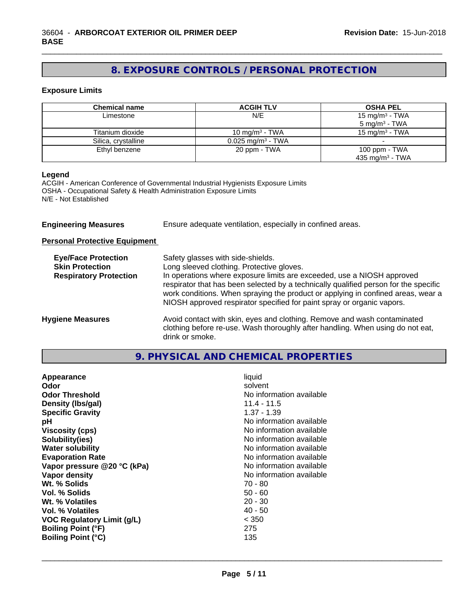# **8. EXPOSURE CONTROLS / PERSONAL PROTECTION**

\_\_\_\_\_\_\_\_\_\_\_\_\_\_\_\_\_\_\_\_\_\_\_\_\_\_\_\_\_\_\_\_\_\_\_\_\_\_\_\_\_\_\_\_\_\_\_\_\_\_\_\_\_\_\_\_\_\_\_\_\_\_\_\_\_\_\_\_\_\_\_\_\_\_\_\_\_\_\_\_\_\_\_\_\_\_\_\_\_\_\_\_\_

#### **Exposure Limits**

| Chemical name       | <b>ACGIH TLV</b>                | <b>OSHA PEL</b>            |
|---------------------|---------------------------------|----------------------------|
| Limestone           | N/E                             | 15 mg/m <sup>3</sup> - TWA |
|                     |                                 | $5 \text{ mg/m}^3$ - TWA   |
| Titanium dioxide    | 10 mg/m <sup>3</sup> - TWA      | 15 mg/m $3$ - TWA          |
| Silica, crystalline | $0.025$ mg/m <sup>3</sup> - TWA |                            |
| Ethyl benzene       | 20 ppm - TWA                    | 100 ppm - TWA              |
|                     |                                 | 435 mg/m $3$ - TWA         |

## **Legend**

ACGIH - American Conference of Governmental Industrial Hygienists Exposure Limits OSHA - Occupational Safety & Health Administration Exposure Limits N/E - Not Established

| <b>Engineering Measures</b> | Ensure adequate ventilation, especially in confined areas. |
|-----------------------------|------------------------------------------------------------|
|                             |                                                            |

**Personal Protective Equipment**

| <b>Eye/Face Protection</b><br><b>Skin Protection</b><br><b>Respiratory Protection</b> | Safety glasses with side-shields.<br>Long sleeved clothing. Protective gloves.<br>In operations where exposure limits are exceeded, use a NIOSH approved<br>respirator that has been selected by a technically qualified person for the specific<br>work conditions. When spraying the product or applying in confined areas, wear a<br>NIOSH approved respirator specified for paint spray or organic vapors. |
|---------------------------------------------------------------------------------------|----------------------------------------------------------------------------------------------------------------------------------------------------------------------------------------------------------------------------------------------------------------------------------------------------------------------------------------------------------------------------------------------------------------|
| <b>Hygiene Measures</b>                                                               | Avoid contact with skin, eyes and clothing. Remove and wash contaminated<br>clothing before re-use. Wash thoroughly after handling. When using do not eat,<br>drink or smoke.                                                                                                                                                                                                                                  |

# **9. PHYSICAL AND CHEMICAL PROPERTIES**

| Appearance<br>Odor<br><b>Odor Threshold</b><br>Density (Ibs/gal)<br><b>Specific Gravity</b><br>рH<br><b>Viscosity (cps)</b><br>Solubility(ies)<br><b>Water solubility</b><br><b>Evaporation Rate</b><br>Vapor pressure @20 °C (kPa)<br>Vapor density<br>Wt. % Solids<br>Vol. % Solids<br>Wt. % Volatiles<br>Vol. % Volatiles<br><b>VOC Regulatory Limit (g/L)</b><br><b>Boiling Point (°F)</b><br>275<br><b>Boiling Point (°C)</b><br>135 | liquid<br>solvent<br>No information available<br>$11.4 - 11.5$<br>$1.37 - 1.39$<br>No information available<br>No information available<br>No information available<br>No information available<br>No information available<br>No information available<br>No information available<br>70 - 80<br>$50 - 60$<br>$20 - 30$<br>$40 - 50$<br>< 350 |
|-------------------------------------------------------------------------------------------------------------------------------------------------------------------------------------------------------------------------------------------------------------------------------------------------------------------------------------------------------------------------------------------------------------------------------------------|------------------------------------------------------------------------------------------------------------------------------------------------------------------------------------------------------------------------------------------------------------------------------------------------------------------------------------------------|
|-------------------------------------------------------------------------------------------------------------------------------------------------------------------------------------------------------------------------------------------------------------------------------------------------------------------------------------------------------------------------------------------------------------------------------------------|------------------------------------------------------------------------------------------------------------------------------------------------------------------------------------------------------------------------------------------------------------------------------------------------------------------------------------------------|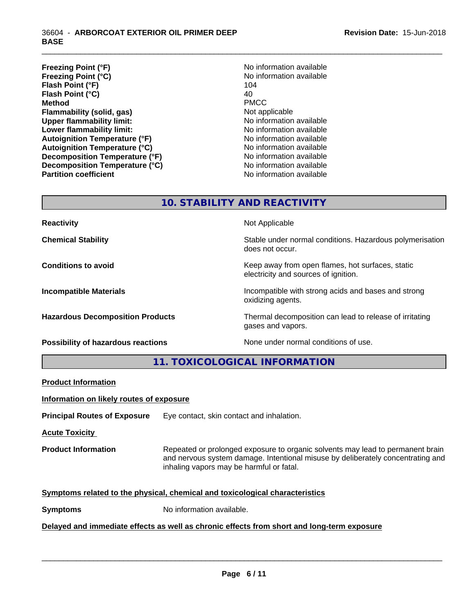- **Freezing Point (°F)**<br> **Freezing Point (°C)**<br> **Freezing Point (°C)**<br> **No** information available **Freezing Point (°C)** No information available to the No information and No information and No information and N<br>Flash Point (°F) 104 **Flash Point (°F) Flash Point**  $(^{\circ}C)$  40 **Method** PMCC **Flammability (solid, gas)** Not applicable **Upper flammability limit:** No information available **Lower flammability limit:** No information available **Autoignition Temperature (°F)** No information available **Autoignition Temperature (°C)** No information available **Decomposition Temperature (°F)** No information available **Decomposition Temperature (°C)** No information available **Partition coefficient** No information available
- 

\_\_\_\_\_\_\_\_\_\_\_\_\_\_\_\_\_\_\_\_\_\_\_\_\_\_\_\_\_\_\_\_\_\_\_\_\_\_\_\_\_\_\_\_\_\_\_\_\_\_\_\_\_\_\_\_\_\_\_\_\_\_\_\_\_\_\_\_\_\_\_\_\_\_\_\_\_\_\_\_\_\_\_\_\_\_\_\_\_\_\_\_\_

# **10. STABILITY AND REACTIVITY**

**Reactivity Not Applicable Not Applicable** 

**Chemical Stability Stability** Stable under normal conditions. Hazardous polymerisation does not occur.

**Conditions to avoid Keep away from open flames, hot surfaces, static Conditions to avoid Keep away from open flames**, hot surfaces, static electricity and sources of ignition.

**Incompatible Materials Incompatible with strong acids and bases and strong** oxidizing agents.

**Hazardous Decomposition Products** Thermal decomposition can lead to release of irritating gases and vapors.

**Possibility of hazardous reactions** None under normal conditions of use.

**11. TOXICOLOGICAL INFORMATION**

**Product Information**

**Information on likely routes of exposure**

**Principal Routes of Exposure** Eye contact, skin contact and inhalation.

**Acute Toxicity** 

**Product Information** Repeated or prolonged exposure to organic solvents may lead to permanent brain and nervous system damage. Intentional misuse by deliberately concentrating and inhaling vapors may be harmful or fatal.

 $\overline{\phantom{a}}$  ,  $\overline{\phantom{a}}$  ,  $\overline{\phantom{a}}$  ,  $\overline{\phantom{a}}$  ,  $\overline{\phantom{a}}$  ,  $\overline{\phantom{a}}$  ,  $\overline{\phantom{a}}$  ,  $\overline{\phantom{a}}$  ,  $\overline{\phantom{a}}$  ,  $\overline{\phantom{a}}$  ,  $\overline{\phantom{a}}$  ,  $\overline{\phantom{a}}$  ,  $\overline{\phantom{a}}$  ,  $\overline{\phantom{a}}$  ,  $\overline{\phantom{a}}$  ,  $\overline{\phantom{a}}$ 

#### **Symptoms related to the physical,chemical and toxicological characteristics**

**Symptoms** No information available.

# **Delayed and immediate effects as well as chronic effects from short and long-term exposure**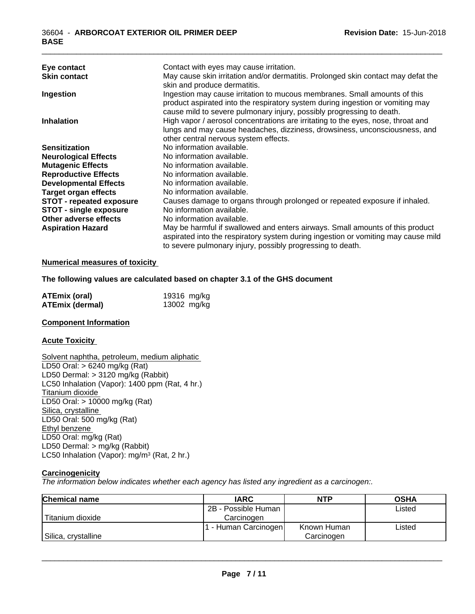| Eye contact                     | Contact with eyes may cause irritation.                                           |
|---------------------------------|-----------------------------------------------------------------------------------|
| <b>Skin contact</b>             | May cause skin irritation and/or dermatitis. Prolonged skin contact may defat the |
|                                 | skin and produce dermatitis.                                                      |
| Ingestion                       | Ingestion may cause irritation to mucous membranes. Small amounts of this         |
|                                 | product aspirated into the respiratory system during ingestion or vomiting may    |
|                                 | cause mild to severe pulmonary injury, possibly progressing to death.             |
| <b>Inhalation</b>               | High vapor / aerosol concentrations are irritating to the eyes, nose, throat and  |
|                                 | lungs and may cause headaches, dizziness, drowsiness, unconsciousness, and        |
|                                 | other central nervous system effects.                                             |
| <b>Sensitization</b>            | No information available.                                                         |
| <b>Neurological Effects</b>     | No information available.                                                         |
| <b>Mutagenic Effects</b>        | No information available.                                                         |
| <b>Reproductive Effects</b>     | No information available.                                                         |
| <b>Developmental Effects</b>    | No information available.                                                         |
| <b>Target organ effects</b>     | No information available.                                                         |
| <b>STOT - repeated exposure</b> | Causes damage to organs through prolonged or repeated exposure if inhaled.        |
| <b>STOT - single exposure</b>   | No information available.                                                         |
| Other adverse effects           | No information available.                                                         |
| <b>Aspiration Hazard</b>        | May be harmful if swallowed and enters airways. Small amounts of this product     |
|                                 | aspirated into the respiratory system during ingestion or vomiting may cause mild |
|                                 | to severe pulmonary injury, possibly progressing to death.                        |

\_\_\_\_\_\_\_\_\_\_\_\_\_\_\_\_\_\_\_\_\_\_\_\_\_\_\_\_\_\_\_\_\_\_\_\_\_\_\_\_\_\_\_\_\_\_\_\_\_\_\_\_\_\_\_\_\_\_\_\_\_\_\_\_\_\_\_\_\_\_\_\_\_\_\_\_\_\_\_\_\_\_\_\_\_\_\_\_\_\_\_\_\_

#### **Numerical measures of toxicity**

#### **The following values are calculated based on chapter 3.1 of the GHS document**

| <b>ATEmix (oral)</b> | 19316 mg/kg |
|----------------------|-------------|
| ATEmix (dermal)      | 13002 mg/kg |

#### **Component Information**

#### **Acute Toxicity**

Solvent naphtha, petroleum, medium aliphatic LD50 Oral: > 6240 mg/kg (Rat) LD50 Dermal: > 3120 mg/kg (Rabbit) LC50 Inhalation (Vapor): 1400 ppm (Rat, 4 hr.) Titanium dioxide LD50 Oral: > 10000 mg/kg (Rat) Silica, crystalline LD50 Oral: 500 mg/kg (Rat) Ethyl benzene LD50 Oral: mg/kg (Rat) LD50 Dermal: > mg/kg (Rabbit) LC50 Inhalation (Vapor): mg/m<sup>3</sup> (Rat, 2 hr.)

## **Carcinogenicity**

*The information below indicateswhether each agency has listed any ingredient as a carcinogen:.*

| <b>Chemical name</b> | <b>IARC</b>         | <b>NTP</b>  | <b>OSHA</b> |
|----------------------|---------------------|-------------|-------------|
|                      | 2B - Possible Human |             | Listed      |
| Titanium dioxide     | Carcinoɑen          |             |             |
|                      | - Human Carcinogen  | Known Human | Listed      |
| Silica, crystalline  |                     | Carcinogen  |             |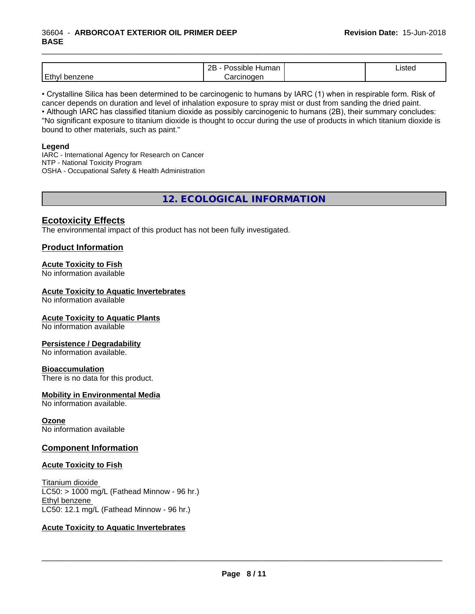## 36604 - **ARBORCOAT EXTERIOR OIL PRIMER DEEP BASE**

|                              | ם מ<br>nar<br>⊣ur<br>114<br>,,,<br><u>_</u> | <b>IStec</b> |
|------------------------------|---------------------------------------------|--------------|
| .<br>. E 1<br><br><u>. u</u> |                                             |              |

\_\_\_\_\_\_\_\_\_\_\_\_\_\_\_\_\_\_\_\_\_\_\_\_\_\_\_\_\_\_\_\_\_\_\_\_\_\_\_\_\_\_\_\_\_\_\_\_\_\_\_\_\_\_\_\_\_\_\_\_\_\_\_\_\_\_\_\_\_\_\_\_\_\_\_\_\_\_\_\_\_\_\_\_\_\_\_\_\_\_\_\_\_

• Crystalline Silica has been determined to be carcinogenic to humans by IARC (1) when in respirable form. Risk of cancer depends on duration and level of inhalation exposure to spray mist or dust from sanding the dried paint.• Although IARC has classified titanium dioxide as possibly carcinogenic to humans (2B), their summary concludes: "No significant exposure to titanium dioxide is thought to occur during the use of products in which titanium dioxide is bound to other materials, such as paint."

#### **Legend**

IARC - International Agency for Research on Cancer NTP - National Toxicity Program OSHA - Occupational Safety & Health Administration

**12. ECOLOGICAL INFORMATION**

# **Ecotoxicity Effects**

The environmental impact of this product has not been fully investigated.

# **Product Information**

## **Acute Toxicity to Fish**

No information available

## **Acute Toxicity to Aquatic Invertebrates**

No information available

#### **Acute Toxicity to Aquatic Plants**

No information available

#### **Persistence / Degradability**

No information available.

#### **Bioaccumulation**

There is no data for this product.

# **Mobility in Environmental Media**

No information available.

**Ozone** No information available

# **Component Information**

#### **Acute Toxicity to Fish**

Titanium dioxide  $LC50:$  > 1000 mg/L (Fathead Minnow - 96 hr.) Ethyl benzene LC50: 12.1 mg/L (Fathead Minnow - 96 hr.)

#### **Acute Toxicity to Aquatic Invertebrates**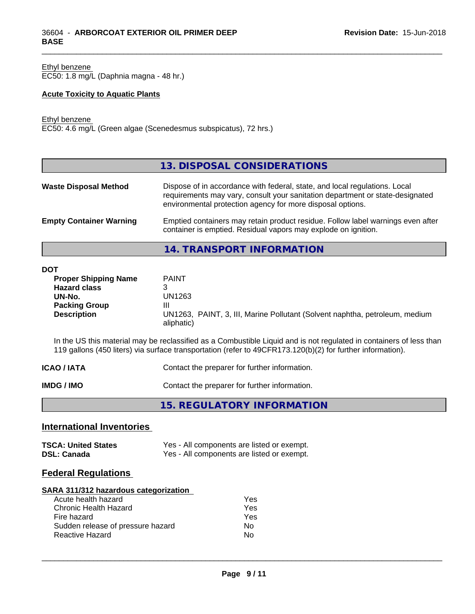Ethyl benzene EC50: 1.8 mg/L (Daphnia magna - 48 hr.)

## **Acute Toxicity to Aquatic Plants**

Ethyl benzene

EC50: 4.6 mg/L (Green algae (Scenedesmus subspicatus), 72 hrs.)

|                                | 13. DISPOSAL CONSIDERATIONS                                                                                                                                                                                               |
|--------------------------------|---------------------------------------------------------------------------------------------------------------------------------------------------------------------------------------------------------------------------|
| <b>Waste Disposal Method</b>   | Dispose of in accordance with federal, state, and local regulations. Local<br>requirements may vary, consult your sanitation department or state-designated<br>environmental protection agency for more disposal options. |
| <b>Empty Container Warning</b> | Emptied containers may retain product residue. Follow label warnings even after<br>container is emptied. Residual vapors may explode on ignition.                                                                         |

\_\_\_\_\_\_\_\_\_\_\_\_\_\_\_\_\_\_\_\_\_\_\_\_\_\_\_\_\_\_\_\_\_\_\_\_\_\_\_\_\_\_\_\_\_\_\_\_\_\_\_\_\_\_\_\_\_\_\_\_\_\_\_\_\_\_\_\_\_\_\_\_\_\_\_\_\_\_\_\_\_\_\_\_\_\_\_\_\_\_\_\_\_

**14. TRANSPORT INFORMATION**

**DOT**

| uı                          |                                                                             |
|-----------------------------|-----------------------------------------------------------------------------|
| <b>Proper Shipping Name</b> | <b>PAINT</b>                                                                |
| <b>Hazard class</b>         |                                                                             |
| UN-No.                      | UN1263                                                                      |
| <b>Packing Group</b>        | Ш                                                                           |
| <b>Description</b>          | UN1263, PAINT, 3, III, Marine Pollutant (Solvent naphtha, petroleum, medium |
|                             | aliphatic)                                                                  |
|                             |                                                                             |

In the US this material may be reclassified as a Combustible Liquid and is not regulated in containers of less than 119 gallons (450 liters) via surface transportation (refer to 49CFR173.120(b)(2) for further information).

| <b>ICAO / IATA</b> | Contact the preparer for further information. |
|--------------------|-----------------------------------------------|
|                    |                                               |

**IMDG / IMO** Contact the preparer for further information.

**15. REGULATORY INFORMATION**

# **International Inventories**

| <b>TSCA: United States</b> | Yes - All components are listed or exempt. |
|----------------------------|--------------------------------------------|
| <b>DSL: Canada</b>         | Yes - All components are listed or exempt. |

# **Federal Regulations**

# **SARA 311/312 hazardous categorization**

| Acute health hazard               | Yes |
|-----------------------------------|-----|
| Chronic Health Hazard             | Yes |
| Fire hazard                       | Yes |
| Sudden release of pressure hazard | N٥  |
| Reactive Hazard                   | N٥  |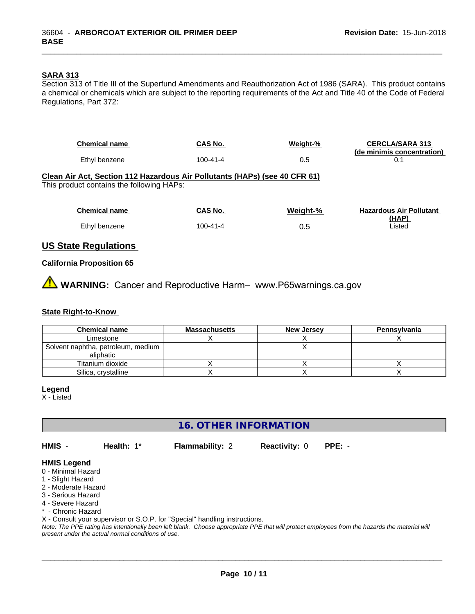## **SARA 313**

Section 313 of Title III of the Superfund Amendments and Reauthorization Act of 1986 (SARA). This product contains a chemical or chemicals which are subject to the reporting requirements of the Act and Title 40 of the Code of Federal Regulations, Part 372:

\_\_\_\_\_\_\_\_\_\_\_\_\_\_\_\_\_\_\_\_\_\_\_\_\_\_\_\_\_\_\_\_\_\_\_\_\_\_\_\_\_\_\_\_\_\_\_\_\_\_\_\_\_\_\_\_\_\_\_\_\_\_\_\_\_\_\_\_\_\_\_\_\_\_\_\_\_\_\_\_\_\_\_\_\_\_\_\_\_\_\_\_\_

| <b>Chemical name</b><br>Ethyl benzene                                                                                   | CAS No.<br>$100 - 41 - 4$ | Weight-%<br>0.5 | <b>CERCLA/SARA 313</b><br>(de minimis concentration)<br>0.1 |
|-------------------------------------------------------------------------------------------------------------------------|---------------------------|-----------------|-------------------------------------------------------------|
| Clean Air Act, Section 112 Hazardous Air Pollutants (HAPs) (see 40 CFR 61)<br>This product contains the following HAPs: |                           |                 |                                                             |
| <b>Chemical name</b>                                                                                                    | CAS No.                   | Weight-%        | <b>Hazardous Air Pollutant</b>                              |
| Ethyl benzene                                                                                                           | $100 - 41 - 4$            | 0.5             | <u>(HAP)</u><br>Listed                                      |
|                                                                                                                         |                           |                 |                                                             |

# **US State Regulations**

#### **California Proposition 65**

⚠ **WARNING:** Cancer and Reproductive Harm– www.P65warnings.ca.gov

# **State Right-to-Know**

| <b>Chemical name</b>                              | <b>Massachusetts</b> | <b>New Jersey</b> | <b>Pennsylvania</b> |
|---------------------------------------------------|----------------------|-------------------|---------------------|
| Limestone                                         |                      |                   |                     |
| Solvent naphtha, petroleum, medium  <br>aliphatic |                      |                   |                     |
| Titanium dioxide                                  |                      |                   |                     |
| Silica, crystalline                               |                      |                   |                     |

#### **Legend**

X - Listed

**16. OTHER INFORMATION**

**HMIS** - **Health:** 1\* **Flammability:** 2 **Reactivity:** 0 **PPE:** -

 $\overline{\phantom{a}}$  ,  $\overline{\phantom{a}}$  ,  $\overline{\phantom{a}}$  ,  $\overline{\phantom{a}}$  ,  $\overline{\phantom{a}}$  ,  $\overline{\phantom{a}}$  ,  $\overline{\phantom{a}}$  ,  $\overline{\phantom{a}}$  ,  $\overline{\phantom{a}}$  ,  $\overline{\phantom{a}}$  ,  $\overline{\phantom{a}}$  ,  $\overline{\phantom{a}}$  ,  $\overline{\phantom{a}}$  ,  $\overline{\phantom{a}}$  ,  $\overline{\phantom{a}}$  ,  $\overline{\phantom{a}}$ 

#### **HMIS Legend**

- 0 Minimal Hazard
- 1 Slight Hazard
- 2 Moderate Hazard
- 3 Serious Hazard
- 4 Severe Hazard
- \* Chronic Hazard

X - Consult your supervisor or S.O.P. for "Special" handling instructions.

*Note: The PPE rating has intentionally been left blank. Choose appropriate PPE that will protect employees from the hazards the material will present under the actual normal conditions of use.*